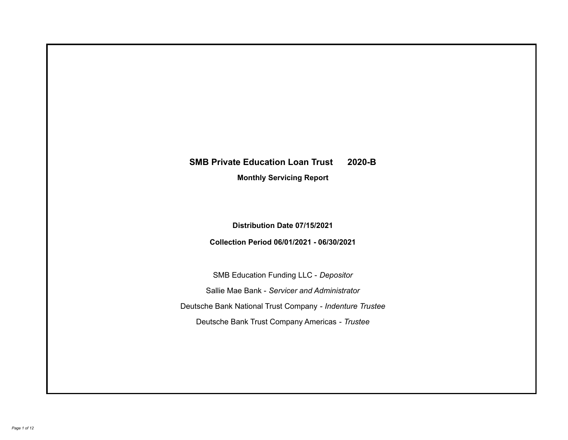# **SMB Private Education Loan Trust 2020-B**

**Monthly Servicing Report**

**Distribution Date 07/15/2021**

**Collection Period 06/01/2021 - 06/30/2021**

SMB Education Funding LLC - *Depositor* Sallie Mae Bank - *Servicer and Administrator* Deutsche Bank National Trust Company - *Indenture Trustee* Deutsche Bank Trust Company Americas - *Trustee*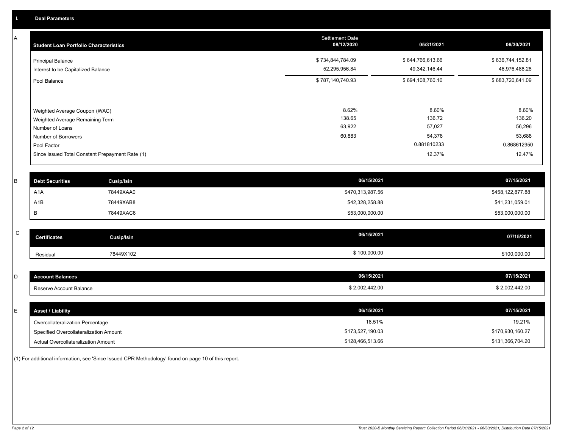A

| <b>Student Loan Portfolio Characteristics</b>                                                                             | <b>Settlement Date</b><br>08/12/2020 | 05/31/2021                                         | 06/30/2021                                         |
|---------------------------------------------------------------------------------------------------------------------------|--------------------------------------|----------------------------------------------------|----------------------------------------------------|
| <b>Principal Balance</b><br>Interest to be Capitalized Balance                                                            | \$734,844,784.09<br>52,295,956.84    | \$644,766,613.66<br>49,342,146.44                  | \$636,744,152.81<br>46,976,488.28                  |
| Pool Balance                                                                                                              | \$787,140,740.93                     | \$694,108,760.10                                   | \$683,720,641.09                                   |
| Weighted Average Coupon (WAC)<br>Weighted Average Remaining Term<br>Number of Loans<br>Number of Borrowers<br>Pool Factor | 8.62%<br>138.65<br>63,922<br>60,883  | 8.60%<br>136.72<br>57,027<br>54,376<br>0.881810233 | 8.60%<br>136.20<br>56,296<br>53,688<br>0.868612950 |
| Since Issued Total Constant Prepayment Rate (1)                                                                           |                                      | 12.37%                                             | 12.47%                                             |
|                                                                                                                           |                                      |                                                    |                                                    |

| <b>Debt Securities</b> | Cusip/Isin | 06/15/2021       | 07/15/2021       |
|------------------------|------------|------------------|------------------|
| A <sub>1</sub> A       | 78449XAA0  | \$470,313,987.56 | \$458,122,877.88 |
| A1B                    | 78449XAB8  | \$42,328,258.88  | \$41,231,059.01  |
|                        | 78449XAC6  | \$53,000,000.00  | \$53,000,000.00  |

| $\sim$<br>◡ | <b>Certificates</b> | Cusip/Isin | 06/15/2021   | 07/15/2021   |
|-------------|---------------------|------------|--------------|--------------|
|             | Residual            | 78449X102  | \$100,000.00 | \$100,000.00 |

| <b>Account Balances</b> | 06/15/2021     | 07/15/2021     |
|-------------------------|----------------|----------------|
| Reserve Account Balance | \$2,002,442.00 | \$2,002,442.00 |

| E. | <b>Asset / Liability</b>               | 06/15/2021       | 07/15/2021       |
|----|----------------------------------------|------------------|------------------|
|    | Overcollateralization Percentage       | 18.51%           | 19.21%           |
|    | Specified Overcollateralization Amount | \$173,527,190.03 | \$170,930,160.27 |
|    | Actual Overcollateralization Amount    | \$128,466,513.66 | \$131,366,704.20 |

(1) For additional information, see 'Since Issued CPR Methodology' found on page 10 of this report.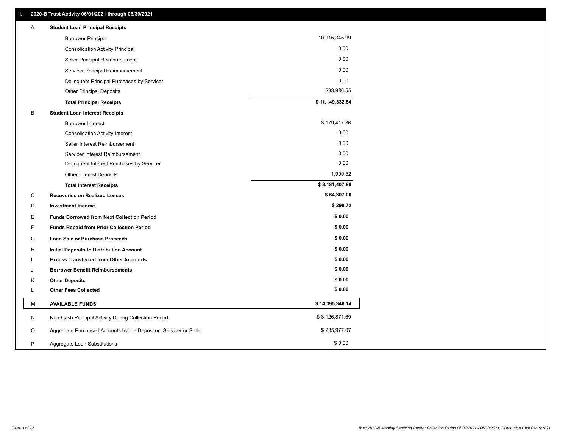| 10,915,345.99<br><b>Borrower Principal</b><br>0.00<br><b>Consolidation Activity Principal</b><br>0.00<br>Seller Principal Reimbursement<br>0.00<br>Servicer Principal Reimbursement<br>0.00<br>Delinquent Principal Purchases by Servicer<br>233,986.55<br><b>Other Principal Deposits</b><br>\$11,149,332.54<br><b>Total Principal Receipts</b><br>B<br><b>Student Loan Interest Receipts</b><br>3,179,417.36<br><b>Borrower Interest</b><br>0.00<br><b>Consolidation Activity Interest</b><br>0.00<br>Seller Interest Reimbursement<br>0.00<br>Servicer Interest Reimbursement<br>0.00<br>Delinquent Interest Purchases by Servicer<br>1,990.52<br>Other Interest Deposits<br>\$3,181,407.88<br><b>Total Interest Receipts</b><br>\$64,307.00<br>С<br><b>Recoveries on Realized Losses</b><br>\$298.72<br>D<br><b>Investment Income</b><br>\$0.00<br>E<br><b>Funds Borrowed from Next Collection Period</b><br>\$0.00<br>F<br><b>Funds Repaid from Prior Collection Period</b><br>\$0.00<br>G<br>Loan Sale or Purchase Proceeds<br>\$0.00<br>H<br><b>Initial Deposits to Distribution Account</b><br>\$0.00<br><b>Excess Transferred from Other Accounts</b><br>\$0.00<br><b>Borrower Benefit Reimbursements</b><br>J<br>\$0.00<br><b>Other Deposits</b><br>Κ<br>\$0.00<br><b>Other Fees Collected</b><br>Г<br>\$14,395,346.14<br>M<br><b>AVAILABLE FUNDS</b><br>\$3,126,871.69<br>N<br>Non-Cash Principal Activity During Collection Period<br>\$235,977.07<br>O<br>Aggregate Purchased Amounts by the Depositor, Servicer or Seller<br>\$0.00<br>Ρ<br>Aggregate Loan Substitutions | Α | <b>Student Loan Principal Receipts</b> |  |
|----------------------------------------------------------------------------------------------------------------------------------------------------------------------------------------------------------------------------------------------------------------------------------------------------------------------------------------------------------------------------------------------------------------------------------------------------------------------------------------------------------------------------------------------------------------------------------------------------------------------------------------------------------------------------------------------------------------------------------------------------------------------------------------------------------------------------------------------------------------------------------------------------------------------------------------------------------------------------------------------------------------------------------------------------------------------------------------------------------------------------------------------------------------------------------------------------------------------------------------------------------------------------------------------------------------------------------------------------------------------------------------------------------------------------------------------------------------------------------------------------------------------------------------------------------------------------------------|---|----------------------------------------|--|
|                                                                                                                                                                                                                                                                                                                                                                                                                                                                                                                                                                                                                                                                                                                                                                                                                                                                                                                                                                                                                                                                                                                                                                                                                                                                                                                                                                                                                                                                                                                                                                                        |   |                                        |  |
|                                                                                                                                                                                                                                                                                                                                                                                                                                                                                                                                                                                                                                                                                                                                                                                                                                                                                                                                                                                                                                                                                                                                                                                                                                                                                                                                                                                                                                                                                                                                                                                        |   |                                        |  |
|                                                                                                                                                                                                                                                                                                                                                                                                                                                                                                                                                                                                                                                                                                                                                                                                                                                                                                                                                                                                                                                                                                                                                                                                                                                                                                                                                                                                                                                                                                                                                                                        |   |                                        |  |
|                                                                                                                                                                                                                                                                                                                                                                                                                                                                                                                                                                                                                                                                                                                                                                                                                                                                                                                                                                                                                                                                                                                                                                                                                                                                                                                                                                                                                                                                                                                                                                                        |   |                                        |  |
|                                                                                                                                                                                                                                                                                                                                                                                                                                                                                                                                                                                                                                                                                                                                                                                                                                                                                                                                                                                                                                                                                                                                                                                                                                                                                                                                                                                                                                                                                                                                                                                        |   |                                        |  |
|                                                                                                                                                                                                                                                                                                                                                                                                                                                                                                                                                                                                                                                                                                                                                                                                                                                                                                                                                                                                                                                                                                                                                                                                                                                                                                                                                                                                                                                                                                                                                                                        |   |                                        |  |
|                                                                                                                                                                                                                                                                                                                                                                                                                                                                                                                                                                                                                                                                                                                                                                                                                                                                                                                                                                                                                                                                                                                                                                                                                                                                                                                                                                                                                                                                                                                                                                                        |   |                                        |  |
|                                                                                                                                                                                                                                                                                                                                                                                                                                                                                                                                                                                                                                                                                                                                                                                                                                                                                                                                                                                                                                                                                                                                                                                                                                                                                                                                                                                                                                                                                                                                                                                        |   |                                        |  |
|                                                                                                                                                                                                                                                                                                                                                                                                                                                                                                                                                                                                                                                                                                                                                                                                                                                                                                                                                                                                                                                                                                                                                                                                                                                                                                                                                                                                                                                                                                                                                                                        |   |                                        |  |
|                                                                                                                                                                                                                                                                                                                                                                                                                                                                                                                                                                                                                                                                                                                                                                                                                                                                                                                                                                                                                                                                                                                                                                                                                                                                                                                                                                                                                                                                                                                                                                                        |   |                                        |  |
|                                                                                                                                                                                                                                                                                                                                                                                                                                                                                                                                                                                                                                                                                                                                                                                                                                                                                                                                                                                                                                                                                                                                                                                                                                                                                                                                                                                                                                                                                                                                                                                        |   |                                        |  |
|                                                                                                                                                                                                                                                                                                                                                                                                                                                                                                                                                                                                                                                                                                                                                                                                                                                                                                                                                                                                                                                                                                                                                                                                                                                                                                                                                                                                                                                                                                                                                                                        |   |                                        |  |
|                                                                                                                                                                                                                                                                                                                                                                                                                                                                                                                                                                                                                                                                                                                                                                                                                                                                                                                                                                                                                                                                                                                                                                                                                                                                                                                                                                                                                                                                                                                                                                                        |   |                                        |  |
|                                                                                                                                                                                                                                                                                                                                                                                                                                                                                                                                                                                                                                                                                                                                                                                                                                                                                                                                                                                                                                                                                                                                                                                                                                                                                                                                                                                                                                                                                                                                                                                        |   |                                        |  |
|                                                                                                                                                                                                                                                                                                                                                                                                                                                                                                                                                                                                                                                                                                                                                                                                                                                                                                                                                                                                                                                                                                                                                                                                                                                                                                                                                                                                                                                                                                                                                                                        |   |                                        |  |
|                                                                                                                                                                                                                                                                                                                                                                                                                                                                                                                                                                                                                                                                                                                                                                                                                                                                                                                                                                                                                                                                                                                                                                                                                                                                                                                                                                                                                                                                                                                                                                                        |   |                                        |  |
|                                                                                                                                                                                                                                                                                                                                                                                                                                                                                                                                                                                                                                                                                                                                                                                                                                                                                                                                                                                                                                                                                                                                                                                                                                                                                                                                                                                                                                                                                                                                                                                        |   |                                        |  |
|                                                                                                                                                                                                                                                                                                                                                                                                                                                                                                                                                                                                                                                                                                                                                                                                                                                                                                                                                                                                                                                                                                                                                                                                                                                                                                                                                                                                                                                                                                                                                                                        |   |                                        |  |
|                                                                                                                                                                                                                                                                                                                                                                                                                                                                                                                                                                                                                                                                                                                                                                                                                                                                                                                                                                                                                                                                                                                                                                                                                                                                                                                                                                                                                                                                                                                                                                                        |   |                                        |  |
|                                                                                                                                                                                                                                                                                                                                                                                                                                                                                                                                                                                                                                                                                                                                                                                                                                                                                                                                                                                                                                                                                                                                                                                                                                                                                                                                                                                                                                                                                                                                                                                        |   |                                        |  |
|                                                                                                                                                                                                                                                                                                                                                                                                                                                                                                                                                                                                                                                                                                                                                                                                                                                                                                                                                                                                                                                                                                                                                                                                                                                                                                                                                                                                                                                                                                                                                                                        |   |                                        |  |
|                                                                                                                                                                                                                                                                                                                                                                                                                                                                                                                                                                                                                                                                                                                                                                                                                                                                                                                                                                                                                                                                                                                                                                                                                                                                                                                                                                                                                                                                                                                                                                                        |   |                                        |  |
|                                                                                                                                                                                                                                                                                                                                                                                                                                                                                                                                                                                                                                                                                                                                                                                                                                                                                                                                                                                                                                                                                                                                                                                                                                                                                                                                                                                                                                                                                                                                                                                        |   |                                        |  |
|                                                                                                                                                                                                                                                                                                                                                                                                                                                                                                                                                                                                                                                                                                                                                                                                                                                                                                                                                                                                                                                                                                                                                                                                                                                                                                                                                                                                                                                                                                                                                                                        |   |                                        |  |
|                                                                                                                                                                                                                                                                                                                                                                                                                                                                                                                                                                                                                                                                                                                                                                                                                                                                                                                                                                                                                                                                                                                                                                                                                                                                                                                                                                                                                                                                                                                                                                                        |   |                                        |  |
|                                                                                                                                                                                                                                                                                                                                                                                                                                                                                                                                                                                                                                                                                                                                                                                                                                                                                                                                                                                                                                                                                                                                                                                                                                                                                                                                                                                                                                                                                                                                                                                        |   |                                        |  |
|                                                                                                                                                                                                                                                                                                                                                                                                                                                                                                                                                                                                                                                                                                                                                                                                                                                                                                                                                                                                                                                                                                                                                                                                                                                                                                                                                                                                                                                                                                                                                                                        |   |                                        |  |
|                                                                                                                                                                                                                                                                                                                                                                                                                                                                                                                                                                                                                                                                                                                                                                                                                                                                                                                                                                                                                                                                                                                                                                                                                                                                                                                                                                                                                                                                                                                                                                                        |   |                                        |  |
|                                                                                                                                                                                                                                                                                                                                                                                                                                                                                                                                                                                                                                                                                                                                                                                                                                                                                                                                                                                                                                                                                                                                                                                                                                                                                                                                                                                                                                                                                                                                                                                        |   |                                        |  |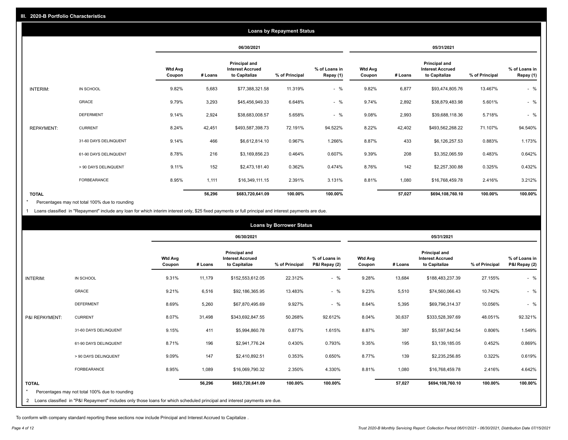|                   |                       |                          |         |                                                           | <b>Loans by Repayment Status</b> |                            |                          |         |                                                           |                |                            |
|-------------------|-----------------------|--------------------------|---------|-----------------------------------------------------------|----------------------------------|----------------------------|--------------------------|---------|-----------------------------------------------------------|----------------|----------------------------|
|                   |                       |                          |         | 06/30/2021                                                |                                  |                            |                          |         | 05/31/2021                                                |                |                            |
|                   |                       | <b>Wtd Avg</b><br>Coupon | # Loans | Principal and<br><b>Interest Accrued</b><br>to Capitalize | % of Principal                   | % of Loans in<br>Repay (1) | <b>Wtd Avg</b><br>Coupon | # Loans | Principal and<br><b>Interest Accrued</b><br>to Capitalize | % of Principal | % of Loans in<br>Repay (1) |
| INTERIM:          | IN SCHOOL             | 9.82%                    | 5,683   | \$77,388,321.58                                           | 11.319%                          | $-$ %                      | 9.82%                    | 6,877   | \$93,474,805.76                                           | 13.467%        | $-$ %                      |
|                   | GRACE                 | 9.79%                    | 3,293   | \$45,456,949.33                                           | 6.648%                           | $-$ %                      | 9.74%                    | 2,892   | \$38,879,483.98                                           | 5.601%         | $-$ %                      |
|                   | <b>DEFERMENT</b>      | 9.14%                    | 2,924   | \$38,683,008.57                                           | 5.658%                           | $-$ %                      | 9.08%                    | 2,993   | \$39,688,118.36                                           | 5.718%         | $-$ %                      |
| <b>REPAYMENT:</b> | <b>CURRENT</b>        | 8.24%                    | 42,451  | \$493,587,398.73                                          | 72.191%                          | 94.522%                    | 8.22%                    | 42,402  | \$493,562,268.22                                          | 71.107%        | 94.540%                    |
|                   | 31-60 DAYS DELINQUENT | 9.14%                    | 466     | \$6,612,814.10                                            | 0.967%                           | 1.266%                     | 8.87%                    | 433     | \$6,126,257.53                                            | 0.883%         | 1.173%                     |
|                   | 61-90 DAYS DELINQUENT | 8.78%                    | 216     | \$3,169,856.23                                            | 0.464%                           | 0.607%                     | 9.39%                    | 208     | \$3,352,065.59                                            | 0.483%         | 0.642%                     |
|                   | > 90 DAYS DELINQUENT  | 9.11%                    | 152     | \$2,473,181.40                                            | 0.362%                           | 0.474%                     | 8.76%                    | 142     | \$2,257,300.88                                            | 0.325%         | 0.432%                     |
|                   | <b>FORBEARANCE</b>    | 8.95%                    | 1,111   | \$16,349,111.15                                           | 2.391%                           | 3.131%                     | 8.81%                    | 1,080   | \$16,768,459.78                                           | 2.416%         | 3.212%                     |
| <b>TOTAL</b>      |                       |                          | 56,296  | \$683,720,641.09                                          | 100.00%                          | 100.00%                    |                          | 57,027  | \$694,108,760.10                                          | 100.00%        | 100.00%                    |

Percentages may not total 100% due to rounding \*

1 Loans classified in "Repayment" include any loan for which interim interest only, \$25 fixed payments or full principal and interest payments are due.

|                |                                                                                                                              |                          |         |                                                                  | <b>Loans by Borrower Status</b> |                                |                          |         |                                                                  |                |                                |
|----------------|------------------------------------------------------------------------------------------------------------------------------|--------------------------|---------|------------------------------------------------------------------|---------------------------------|--------------------------------|--------------------------|---------|------------------------------------------------------------------|----------------|--------------------------------|
|                |                                                                                                                              |                          |         | 06/30/2021                                                       |                                 |                                |                          |         | 05/31/2021                                                       |                |                                |
|                |                                                                                                                              | <b>Wtd Avg</b><br>Coupon | # Loans | <b>Principal and</b><br><b>Interest Accrued</b><br>to Capitalize | % of Principal                  | % of Loans in<br>P&I Repay (2) | <b>Wtd Avg</b><br>Coupon | # Loans | <b>Principal and</b><br><b>Interest Accrued</b><br>to Capitalize | % of Principal | % of Loans in<br>P&I Repay (2) |
| INTERIM:       | IN SCHOOL                                                                                                                    | 9.31%                    | 11,179  | \$152,553,612.05                                                 | 22.312%                         | $-$ %                          | 9.28%                    | 13,684  | \$188,483,237.39                                                 | 27.155%        | $-$ %                          |
|                | <b>GRACE</b>                                                                                                                 | 9.21%                    | 6,516   | \$92,186,365.95                                                  | 13.483%                         | $-$ %                          | 9.23%                    | 5,510   | \$74,560,066.43                                                  | 10.742%        | $-$ %                          |
|                | <b>DEFERMENT</b>                                                                                                             | 8.69%                    | 5,260   | \$67,870,495.69                                                  | 9.927%                          | $-$ %                          | 8.64%                    | 5,395   | \$69,796,314.37                                                  | 10.056%        | $-$ %                          |
| P&I REPAYMENT: | <b>CURRENT</b>                                                                                                               | 8.07%                    | 31,498  | \$343,692,847.55                                                 | 50.268%                         | 92.612%                        | 8.04%                    | 30,637  | \$333,528,397.69                                                 | 48.051%        | 92.321%                        |
|                | 31-60 DAYS DELINQUENT                                                                                                        | 9.15%                    | 411     | \$5,994,860.78                                                   | 0.877%                          | 1.615%                         | 8.87%                    | 387     | \$5,597,842.54                                                   | 0.806%         | 1.549%                         |
|                | 61-90 DAYS DELINQUENT                                                                                                        | 8.71%                    | 196     | \$2,941,776.24                                                   | 0.430%                          | 0.793%                         | 9.35%                    | 195     | \$3,139,185.05                                                   | 0.452%         | 0.869%                         |
|                | > 90 DAYS DELINQUENT                                                                                                         | 9.09%                    | 147     | \$2,410,892.51                                                   | 0.353%                          | 0.650%                         | 8.77%                    | 139     | \$2,235,256.85                                                   | 0.322%         | 0.619%                         |
|                | FORBEARANCE                                                                                                                  | 8.95%                    | 1,089   | \$16,069,790.32                                                  | 2.350%                          | 4.330%                         | 8.81%                    | 1,080   | \$16,768,459.78                                                  | 2.416%         | 4.642%                         |
| <b>TOTAL</b>   | Percentages may not total 100% due to rounding                                                                               |                          | 56,296  | \$683,720,641.09                                                 | 100.00%                         | 100.00%                        |                          | 57,027  | \$694,108,760.10                                                 | 100.00%        | 100.00%                        |
|                | 2 Loans classified in "P&I Repayment" includes only those loans for which scheduled principal and interest payments are due. |                          |         |                                                                  |                                 |                                |                          |         |                                                                  |                |                                |

To conform with company standard reporting these sections now include Principal and Interest Accrued to Capitalize .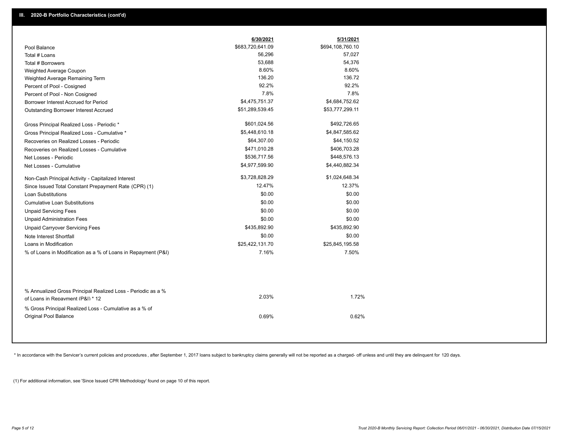|                                                                                                  | 6/30/2021        | 5/31/2021        |
|--------------------------------------------------------------------------------------------------|------------------|------------------|
| Pool Balance                                                                                     | \$683,720,641.09 | \$694,108,760.10 |
| Total # Loans                                                                                    | 56,296           | 57,027           |
| Total # Borrowers                                                                                | 53,688           | 54,376           |
| Weighted Average Coupon                                                                          | 8.60%            | 8.60%            |
| Weighted Average Remaining Term                                                                  | 136.20           | 136.72           |
| Percent of Pool - Cosigned                                                                       | 92.2%            | 92.2%            |
| Percent of Pool - Non Cosigned                                                                   | 7.8%             | 7.8%             |
| Borrower Interest Accrued for Period                                                             | \$4,475,751.37   | \$4,684,752.62   |
| Outstanding Borrower Interest Accrued                                                            | \$51,289,539.45  | \$53,777,299.11  |
| Gross Principal Realized Loss - Periodic *                                                       | \$601,024.56     | \$492,726.65     |
| Gross Principal Realized Loss - Cumulative *                                                     | \$5,448,610.18   | \$4,847,585.62   |
| Recoveries on Realized Losses - Periodic                                                         | \$64,307.00      | \$44,150.52      |
| Recoveries on Realized Losses - Cumulative                                                       | \$471,010.28     | \$406,703.28     |
| Net Losses - Periodic                                                                            | \$536,717.56     | \$448,576.13     |
| Net Losses - Cumulative                                                                          | \$4,977,599.90   | \$4,440,882.34   |
| Non-Cash Principal Activity - Capitalized Interest                                               | \$3,728,828.29   | \$1,024,648.34   |
| Since Issued Total Constant Prepayment Rate (CPR) (1)                                            | 12.47%           | 12.37%           |
| <b>Loan Substitutions</b>                                                                        | \$0.00           | \$0.00           |
| <b>Cumulative Loan Substitutions</b>                                                             | \$0.00           | \$0.00           |
| <b>Unpaid Servicing Fees</b>                                                                     | \$0.00           | \$0.00           |
| <b>Unpaid Administration Fees</b>                                                                | \$0.00           | \$0.00           |
| <b>Unpaid Carryover Servicing Fees</b>                                                           | \$435,892.90     | \$435,892.90     |
| Note Interest Shortfall                                                                          | \$0.00           | \$0.00           |
| Loans in Modification                                                                            | \$25,422,131.70  | \$25,845,195.58  |
| % of Loans in Modification as a % of Loans in Repayment (P&I)                                    | 7.16%            | 7.50%            |
| % Annualized Gross Principal Realized Loss - Periodic as a %<br>of Loans in Repayment (P&I) * 12 | 2.03%            | 1.72%            |
| % Gross Principal Realized Loss - Cumulative as a % of                                           |                  |                  |
| <b>Original Pool Balance</b>                                                                     | 0.69%            | 0.62%            |

\* In accordance with the Servicer's current policies and procedures, after September 1, 2017 loans subject to bankruptcy claims generally will not be reported as a charged- off unless and until they are delinquent for 120

(1) For additional information, see 'Since Issued CPR Methodology' found on page 10 of this report.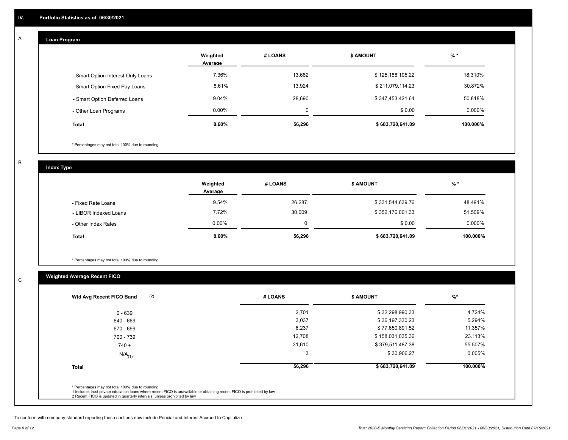#### **Loan Program**  A

|                                    | Weighted<br>Average | # LOANS  | <b>\$ AMOUNT</b> | $%$ *     |
|------------------------------------|---------------------|----------|------------------|-----------|
| - Smart Option Interest-Only Loans | 7.36%               | 13,682   | \$125,188,105.22 | 18.310%   |
| - Smart Option Fixed Pay Loans     | 8.61%               | 13,924   | \$211,079,114.23 | 30.872%   |
| - Smart Option Deferred Loans      | 9.04%               | 28,690   | \$347,453,421.64 | 50.818%   |
| - Other Loan Programs              | $0.00\%$            | $\Omega$ | \$0.00           | $0.000\%$ |
| <b>Total</b>                       | 8.60%               | 56,296   | \$683,720,641.09 | 100.000%  |

\* Percentages may not total 100% due to rounding

B

C

**Index Type**

|                       | Weighted<br>Average | # LOANS | <b>\$ AMOUNT</b> | $%$ *    |
|-----------------------|---------------------|---------|------------------|----------|
| - Fixed Rate Loans    | 9.54%               | 26,287  | \$331,544,639.76 | 48.491%  |
| - LIBOR Indexed Loans | 7.72%               | 30,009  | \$352,176,001.33 | 51.509%  |
| - Other Index Rates   | 0.00%               |         | \$0.00           | 0.000%   |
| <b>Total</b>          | 8.60%               | 56,296  | \$683,720,641.09 | 100.000% |

\* Percentages may not total 100% due to rounding

## **Weighted Average Recent FICO**

| 2,701<br>3,037 | \$32,298,990.33<br>\$36,197,330.23 | 4.724%    |
|----------------|------------------------------------|-----------|
|                |                                    |           |
|                |                                    | 5.294%    |
| 6,237          | \$77,650,891.52                    | 11.357%   |
| 12,708         | \$158,031,035.36                   | 23.113%   |
| 31,610         | \$379,511,487.38                   | 55.507%   |
| 3              | \$30,906.27                        | $0.005\%$ |
| 56,296         | \$683,720,641.09                   | 100.000%  |
|                |                                    |           |

To conform with company standard reporting these sections now include Princial and Interest Accrued to Capitalize .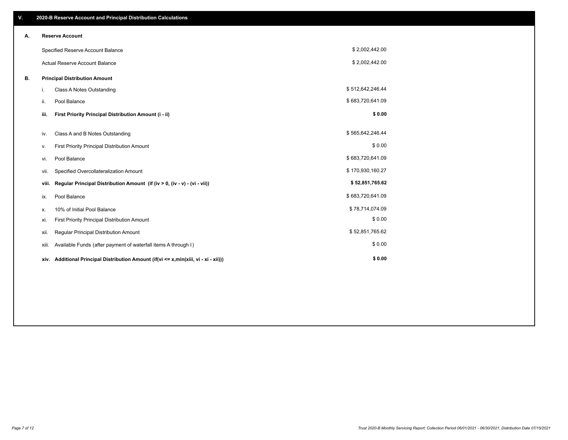| V. |       | 2020-B Reserve Account and Principal Distribution Calculations                       |                  |  |
|----|-------|--------------------------------------------------------------------------------------|------------------|--|
| Α. |       | <b>Reserve Account</b>                                                               |                  |  |
|    |       | Specified Reserve Account Balance                                                    | \$2,002,442.00   |  |
|    |       | <b>Actual Reserve Account Balance</b>                                                | \$2,002,442.00   |  |
| В. |       | <b>Principal Distribution Amount</b>                                                 |                  |  |
|    | i.    | Class A Notes Outstanding                                                            | \$512,642,246.44 |  |
|    | ii.   | Pool Balance                                                                         | \$683,720,641.09 |  |
|    | iii.  | First Priority Principal Distribution Amount (i - ii)                                | \$0.00           |  |
|    | iv.   | Class A and B Notes Outstanding                                                      | \$565,642,246.44 |  |
|    | ν.    | First Priority Principal Distribution Amount                                         | \$0.00           |  |
|    | vi.   | Pool Balance                                                                         | \$683,720,641.09 |  |
|    | vii.  | Specified Overcollateralization Amount                                               | \$170,930,160.27 |  |
|    | viii. | Regular Principal Distribution Amount (if (iv > 0, (iv - v) - (vi - vii))            | \$52,851,765.62  |  |
|    | ix.   | Pool Balance                                                                         | \$683,720,641.09 |  |
|    | х.    | 10% of Initial Pool Balance                                                          | \$78,714,074.09  |  |
|    | xi.   | First Priority Principal Distribution Amount                                         | \$0.00           |  |
|    | xii.  | Regular Principal Distribution Amount                                                | \$52,851,765.62  |  |
|    | xiii. | Available Funds (after payment of waterfall items A through I)                       | \$0.00           |  |
|    |       | xiv. Additional Principal Distribution Amount (if(vi <= x,min(xiii, vi - xi - xii))) | \$0.00           |  |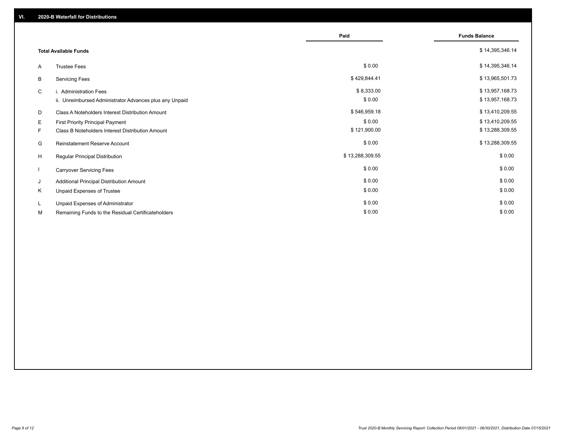|    |                                                         | Paid            | <b>Funds Balance</b> |
|----|---------------------------------------------------------|-----------------|----------------------|
|    | <b>Total Available Funds</b>                            |                 | \$14,395,346.14      |
| A  | <b>Trustee Fees</b>                                     | \$0.00          | \$14,395,346.14      |
| В  | <b>Servicing Fees</b>                                   | \$429,844.41    | \$13,965,501.73      |
| C  | i. Administration Fees                                  | \$8,333.00      | \$13,957,168.73      |
|    | ii. Unreimbursed Administrator Advances plus any Unpaid | \$0.00          | \$13,957,168.73      |
| D  | Class A Noteholders Interest Distribution Amount        | \$546,959.18    | \$13,410,209.55      |
| Е  | First Priority Principal Payment                        | \$0.00          | \$13,410,209.55      |
| F. | Class B Noteholders Interest Distribution Amount        | \$121,900.00    | \$13,288,309.55      |
| G  | <b>Reinstatement Reserve Account</b>                    | \$0.00          | \$13,288,309.55      |
| H  | Regular Principal Distribution                          | \$13,288,309.55 | \$0.00               |
|    | <b>Carryover Servicing Fees</b>                         | \$0.00          | \$0.00               |
| J  | Additional Principal Distribution Amount                | \$0.00          | \$0.00               |
| Κ  | Unpaid Expenses of Trustee                              | \$0.00          | \$0.00               |
| L. | Unpaid Expenses of Administrator                        | \$0.00          | \$0.00               |
| М  | Remaining Funds to the Residual Certificateholders      | \$0.00          | \$0.00               |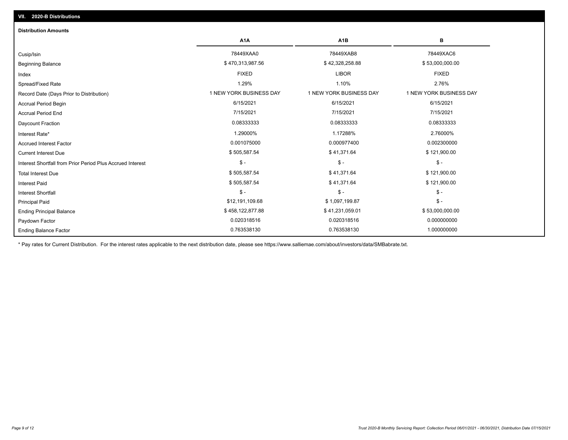| <b>Distribution Amounts</b>                                |                         |                         |                         |
|------------------------------------------------------------|-------------------------|-------------------------|-------------------------|
|                                                            | A <sub>1</sub> A        | A <sub>1</sub> B        | в                       |
| Cusip/Isin                                                 | 78449XAA0               | 78449XAB8               | 78449XAC6               |
| <b>Beginning Balance</b>                                   | \$470,313,987.56        | \$42,328,258.88         | \$53,000,000.00         |
| Index                                                      | <b>FIXED</b>            | <b>LIBOR</b>            | <b>FIXED</b>            |
| Spread/Fixed Rate                                          | 1.29%                   | 1.10%                   | 2.76%                   |
| Record Date (Days Prior to Distribution)                   | 1 NEW YORK BUSINESS DAY | 1 NEW YORK BUSINESS DAY | 1 NEW YORK BUSINESS DAY |
| <b>Accrual Period Begin</b>                                | 6/15/2021               | 6/15/2021               | 6/15/2021               |
| <b>Accrual Period End</b>                                  | 7/15/2021               | 7/15/2021               | 7/15/2021               |
| <b>Daycount Fraction</b>                                   | 0.08333333              | 0.08333333              | 0.08333333              |
| Interest Rate*                                             | 1.29000%                | 1.17288%                | 2.76000%                |
| <b>Accrued Interest Factor</b>                             | 0.001075000             | 0.000977400             | 0.002300000             |
| <b>Current Interest Due</b>                                | \$505,587.54            | \$41,371.64             | \$121,900.00            |
| Interest Shortfall from Prior Period Plus Accrued Interest | $\mathsf{\$}$ -         | $\mathsf{\$}$ -         | $\mathsf{\$}$ -         |
| <b>Total Interest Due</b>                                  | \$505,587.54            | \$41,371.64             | \$121,900.00            |
| <b>Interest Paid</b>                                       | \$505,587.54            | \$41,371.64             | \$121,900.00            |
| <b>Interest Shortfall</b>                                  | $\frac{1}{2}$           | $\mathsf{\$}$ -         | $$ -$                   |
| <b>Principal Paid</b>                                      | \$12,191,109.68         | \$1,097,199.87          | $$ -$                   |
| <b>Ending Principal Balance</b>                            | \$458,122,877.88        | \$41,231,059.01         | \$53,000,000.00         |
| Paydown Factor                                             | 0.020318516             | 0.020318516             | 0.000000000             |
| <b>Ending Balance Factor</b>                               | 0.763538130             | 0.763538130             | 1.000000000             |

\* Pay rates for Current Distribution. For the interest rates applicable to the next distribution date, please see https://www.salliemae.com/about/investors/data/SMBabrate.txt.

**VII. 2020-B Distributions**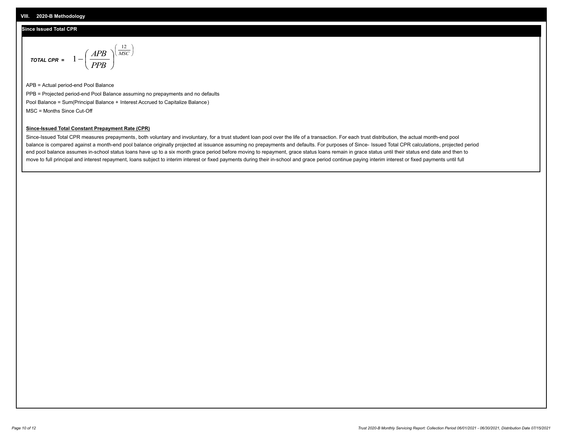#### **Since Issued Total CPR**

$$
\text{total CPR} = 1 - \left(\frac{APB}{PPB}\right)^{\left(\frac{12}{MSC}\right)}
$$

APB = Actual period-end Pool Balance PPB = Projected period-end Pool Balance assuming no prepayments and no defaults Pool Balance = Sum(Principal Balance + Interest Accrued to Capitalize Balance) MSC = Months Since Cut-Off

 $\mathsf{I}$ J λ

#### **Since-Issued Total Constant Prepayment Rate (CPR)**

Since-Issued Total CPR measures prepayments, both voluntary and involuntary, for a trust student loan pool over the life of a transaction. For each trust distribution, the actual month-end pool balance is compared against a month-end pool balance originally projected at issuance assuming no prepayments and defaults. For purposes of Since- Issued Total CPR calculations, projected period end pool balance assumes in-school status loans have up to a six month grace period before moving to repayment, grace status loans remain in grace status until their status end date and then to move to full principal and interest repayment, loans subject to interim interest or fixed payments during their in-school and grace period continue paying interim interest or fixed payments until full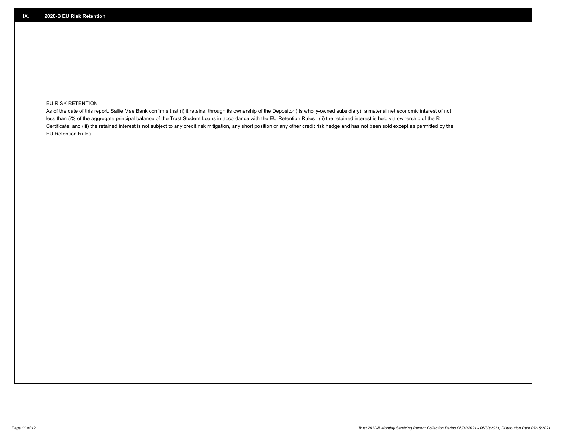### **EU RISK RETENTION**

As of the date of this report, Sallie Mae Bank confirms that (i) it retains, through its ownership of the Depositor (its wholly-owned subsidiary), a material net economic interest of not less than 5% of the aggregate principal balance of the Trust Student Loans in accordance with the EU Retention Rules ; (ii) the retained interest is held via ownership of the R Certificate; and (iii) the retained interest is not subject to any credit risk mitigation, any short position or any other credit risk hedge and has not been sold except as permitted by the EU Retention Rules.